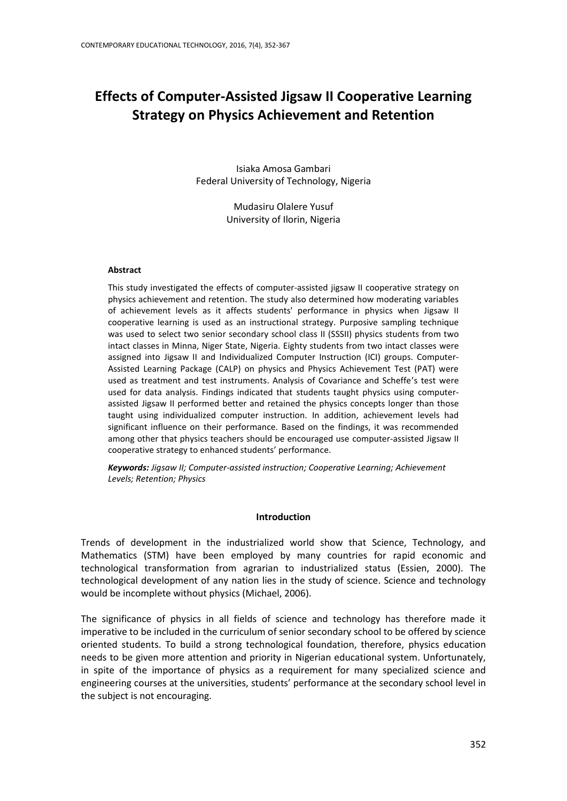# **Effects of Computer-Assisted Jigsaw II Cooperative Learning Strategy on Physics Achievement and Retention**

Isiaka Amosa Gambari Federal University of Technology, Nigeria

> Mudasiru Olalere Yusuf University of Ilorin, Nigeria

### **Abstract**

This study investigated the effects of computer-assisted jigsaw II cooperative strategy on physics achievement and retention. The study also determined how moderating variables of achievement levels as it affects students' performance in physics when Jigsaw II cooperative learning is used as an instructional strategy. Purposive sampling technique was used to select two senior secondary school class II (SSSII) physics students from two intact classes in Minna, Niger State, Nigeria. Eighty students from two intact classes were assigned into Jigsaw II and Individualized Computer Instruction (ICI) groups. Computer-Assisted Learning Package (CALP) on physics and Physics Achievement Test (PAT) were used as treatment and test instruments. Analysis of Covariance and Scheffe's test were used for data analysis. Findings indicated that students taught physics using computerassisted Jigsaw II performed better and retained the physics concepts longer than those taught using individualized computer instruction. In addition, achievement levels had significant influence on their performance. Based on the findings, it was recommended among other that physics teachers should be encouraged use computer-assisted Jigsaw II cooperative strategy to enhanced students' performance.

*Keywords: Jigsaw II; Computer-assisted instruction; Cooperative Learning; Achievement Levels; Retention; Physics*

## **Introduction**

Trends of development in the industrialized world show that Science, Technology, and Mathematics (STM) have been employed by many countries for rapid economic and technological transformation from agrarian to industrialized status (Essien, 2000). The technological development of any nation lies in the study of science. Science and technology would be incomplete without physics (Michael, 2006).

The significance of physics in all fields of science and technology has therefore made it imperative to be included in the curriculum of senior secondary school to be offered by science oriented students. To build a strong technological foundation, therefore, physics education needs to be given more attention and priority in Nigerian educational system. Unfortunately, in spite of the importance of physics as a requirement for many specialized science and engineering courses at the universities, students' performance at the secondary school level in the subject is not encouraging.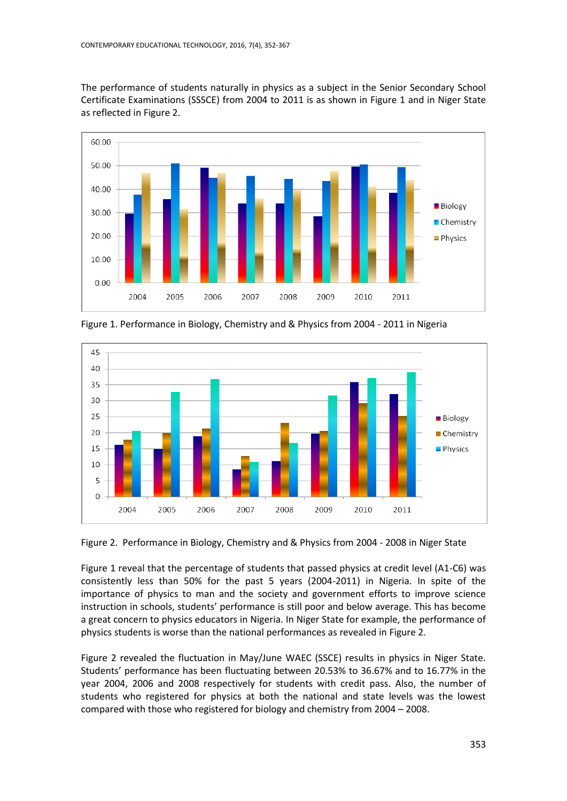The performance of students naturally in physics as a subject in the Senior Secondary School Certificate Examinations (SSSCE) from 2004 to 2011 is as shown in Figure 1 and in Niger State as reflected in Figure 2.



Figure 1. Performance in Biology, Chemistry and & Physics from 2004 - 2011 in Nigeria



Figure 2. Performance in Biology, Chemistry and & Physics from 2004 - 2008 in Niger State

Figure 1 reveal that the percentage of students that passed physics at credit level (A1-C6) was consistently less than 50% for the past 5 years (2004-2011) in Nigeria. In spite of the importance of physics to man and the society and government efforts to improve science instruction in schools, students' performance is still poor and below average. This has become a great concern to physics educators in Nigeria. In Niger State for example, the performance of physics students is worse than the national performances as revealed in Figure 2.

Figure 2 revealed the fluctuation in May/June WAEC (SSCE) results in physics in Niger State. Students' performance has been fluctuating between 20.53% to 36.67% and to 16.77% in the year 2004, 2006 and 2008 respectively for students with credit pass. Also, the number of students who registered for physics at both the national and state levels was the lowest compared with those who registered for biology and chemistry from 2004 – 2008.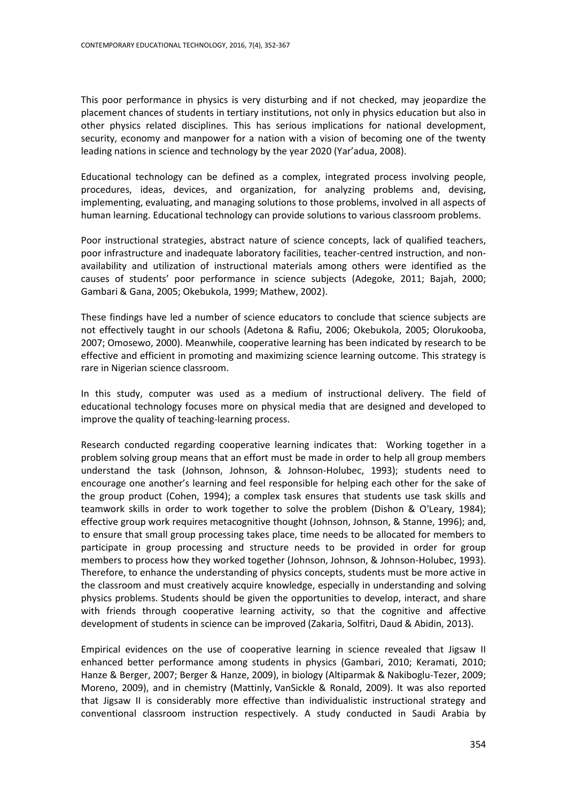This poor performance in physics is very disturbing and if not checked, may jeopardize the placement chances of students in tertiary institutions, not only in physics education but also in other physics related disciplines. This has serious implications for national development, security, economy and manpower for a nation with a vision of becoming one of the twenty leading nations in science and technology by the year 2020 (Yar'adua, 2008).

Educational technology can be defined as a complex, integrated process involving people, procedures, ideas, devices, and organization, for analyzing problems and, devising, implementing, evaluating, and managing solutions to those problems, involved in all aspects of human learning. Educational technology can provide solutions to various classroom problems.

Poor instructional strategies, abstract nature of science concepts, lack of qualified teachers, poor infrastructure and inadequate laboratory facilities, teacher-centred instruction, and nonavailability and utilization of instructional materials among others were identified as the causes of students' poor performance in science subjects (Adegoke, 2011; Bajah, 2000; Gambari & Gana, 2005; Okebukola, 1999; Mathew, 2002).

These findings have led a number of science educators to conclude that science subjects are not effectively taught in our schools (Adetona & Rafiu, 2006; Okebukola, 2005; Olorukooba, 2007; Omosewo, 2000). Meanwhile, cooperative learning has been indicated by research to be effective and efficient in promoting and maximizing science learning outcome. This strategy is rare in Nigerian science classroom.

In this study, computer was used as a medium of instructional delivery. The field of educational technology focuses more on physical media that are designed and developed to improve the quality of teaching-learning process.

Research conducted regarding cooperative learning indicates that: Working together in a problem solving group means that an effort must be made in order to help all group members understand the task (Johnson, Johnson, & Johnson-Holubec, 1993); students need to encourage one another's learning and feel responsible for helping each other for the sake of the group product (Cohen, 1994); a complex task ensures that students use task skills and teamwork skills in order to work together to solve the problem (Dishon & O'Leary, 1984); effective group work requires metacognitive thought (Johnson, Johnson, & Stanne, 1996); and, to ensure that small group processing takes place, time needs to be allocated for members to participate in group processing and structure needs to be provided in order for group members to process how they worked together (Johnson, Johnson, & Johnson-Holubec, 1993). Therefore, to enhance the understanding of physics concepts, students must be more active in the classroom and must creatively acquire knowledge, especially in understanding and solving physics problems. Students should be given the opportunities to develop, interact, and share with friends through cooperative learning activity, so that the cognitive and affective development of students in science can be improved (Zakaria, Solfitri, Daud & Abidin, 2013).

Empirical evidences on the use of cooperative learning in science revealed that Jigsaw II enhanced better performance among students in physics (Gambari, 2010; Keramati, 2010; Hanze & Berger, 2007; Berger & Hanze, 2009), in biology (Altiparmak & Nakiboglu-Tezer, 2009; Moreno, 2009), and in chemistry (Mattinly, VanSickle & Ronald, 2009). It was also reported that Jigsaw II is considerably more effective than individualistic instructional strategy and conventional classroom instruction respectively. A study conducted in Saudi Arabia by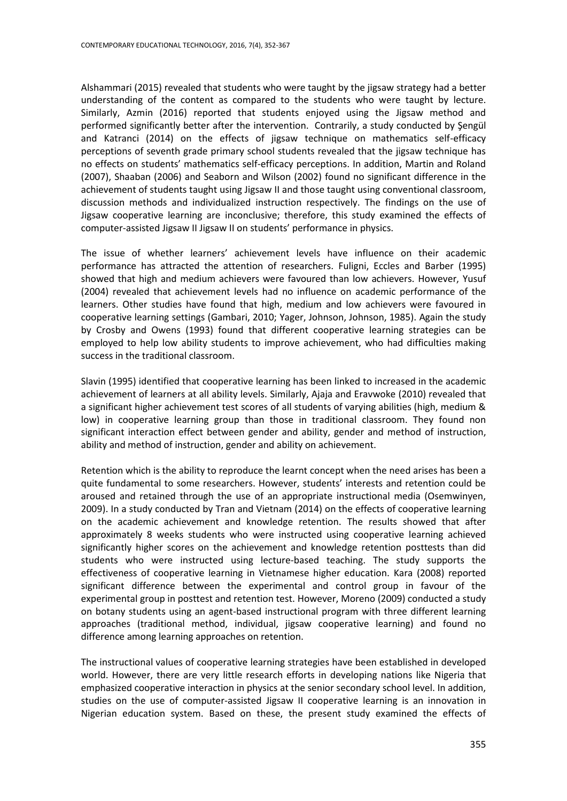Alshammari (2015) revealed that students who were taught by the jigsaw strategy had a better understanding of the content as compared to the students who were taught by lecture. Similarly, Azmin (2016) reported that students enjoyed using the Jigsaw method and performed significantly better after the intervention. Contrarily, a study conducted by Şengül and Katranci (2014) on the effects of jigsaw technique on mathematics self-efficacy perceptions of seventh grade primary school students revealed that the jigsaw technique has no effects on students' mathematics self-efficacy perceptions. In addition, Martin and Roland (2007), Shaaban (2006) and Seaborn and Wilson (2002) found no significant difference in the achievement of students taught using Jigsaw II and those taught using conventional classroom, discussion methods and individualized instruction respectively. The findings on the use of Jigsaw cooperative learning are inconclusive; therefore, this study examined the effects of computer-assisted Jigsaw II Jigsaw II on students' performance in physics.

The issue of whether learners' achievement levels have influence on their academic performance has attracted the attention of researchers. Fuligni, Eccles and Barber (1995) showed that high and medium achievers were favoured than low achievers. However, Yusuf (2004) revealed that achievement levels had no influence on academic performance of the learners. Other studies have found that high, medium and low achievers were favoured in cooperative learning settings (Gambari, 2010; Yager, Johnson, Johnson, 1985). Again the study by Crosby and Owens (1993) found that different cooperative learning strategies can be employed to help low ability students to improve achievement, who had difficulties making success in the traditional classroom.

Slavin (1995) identified that cooperative learning has been linked to increased in the academic achievement of learners at all ability levels. Similarly, Ajaja and Eravwoke (2010) revealed that a significant higher achievement test scores of all students of varying abilities (high, medium & low) in cooperative learning group than those in traditional classroom. They found non significant interaction effect between gender and ability, gender and method of instruction, ability and method of instruction, gender and ability on achievement.

Retention which is the ability to reproduce the learnt concept when the need arises has been a quite fundamental to some researchers. However, students' interests and retention could be aroused and retained through the use of an appropriate instructional media (Osemwinyen, 2009). In a study conducted by Tran and Vietnam (2014) on the effects of cooperative learning on the academic achievement and knowledge retention. The results showed that after approximately 8 weeks students who were instructed using cooperative learning achieved significantly higher scores on the achievement and knowledge retention posttests than did students who were instructed using lecture-based teaching. The study supports the effectiveness of cooperative learning in Vietnamese higher education. [Kara](http://www.eric.ed.gov/ERICWebPortal/Home.portal?_nfpb=true&_pageLabel=ERICSearchResult&_urlType=action&newSearch=true&ERICExtSearch_SearchType_0=au&ERICExtSearch_SearchValue_0=%22Kara+Izzet%22) (2008) reported significant difference between the experimental and control group in favour of the experimental group in posttest and retention test. However, Moreno (2009) conducted a study on botany students using an agent-based instructional program with three different learning approaches (traditional method, individual, jigsaw cooperative learning) and found no difference among learning approaches on retention.

The instructional values of cooperative learning strategies have been established in developed world. However, there are very little research efforts in developing nations like Nigeria that emphasized cooperative interaction in physics at the senior secondary school level. In addition, studies on the use of computer-assisted Jigsaw II cooperative learning is an innovation in Nigerian education system. Based on these, the present study examined the effects of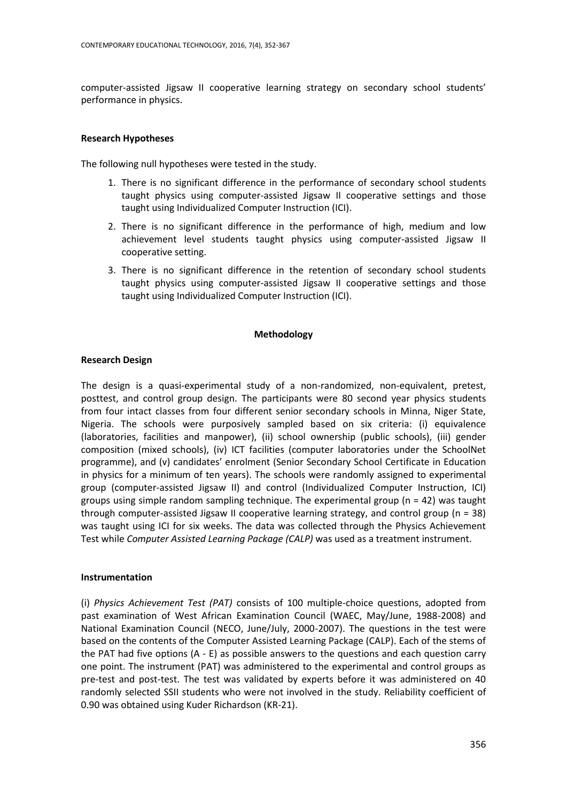computer-assisted Jigsaw II cooperative learning strategy on secondary school students' performance in physics.

# **Research Hypotheses**

The following null hypotheses were tested in the study.

- 1. There is no significant difference in the performance of secondary school students taught physics using computer-assisted Jigsaw II cooperative settings and those taught using Individualized Computer Instruction (ICI).
- 2. There is no significant difference in the performance of high, medium and low achievement level students taught physics using computer-assisted Jigsaw II cooperative setting.
- 3. There is no significant difference in the retention of secondary school students taught physics using computer-assisted Jigsaw II cooperative settings and those taught using Individualized Computer Instruction (ICI).

### **Methodology**

# **Research Design**

The design is a quasi-experimental study of a non-randomized, non-equivalent, pretest, posttest, and control group design. The participants were 80 second year physics students from four intact classes from four different senior secondary schools in Minna, Niger State, Nigeria. The schools were purposively sampled based on six criteria: (i) equivalence (laboratories, facilities and manpower), (ii) school ownership (public schools), (iii) gender composition (mixed schools), (iv) ICT facilities (computer laboratories under the SchoolNet programme), and (v) candidates' enrolment (Senior Secondary School Certificate in Education in physics for a minimum of ten years). The schools were randomly assigned to experimental group (computer-assisted Jigsaw II) and control (Individualized Computer Instruction, ICI) groups using simple random sampling technique. The experimental group ( $n = 42$ ) was taught through computer-assisted Jigsaw II cooperative learning strategy, and control group (n = 38) was taught using ICI for six weeks. The data was collected through the Physics Achievement Test while *Computer Assisted Learning Package (CALP)* was used as a treatment instrument.

### **Instrumentation**

(i) *Physics Achievement Test (PAT)* consists of 100 multiple-choice questions, adopted from past examination of West African Examination Council (WAEC, May/June, 1988-2008) and National Examination Council (NECO, June/July, 2000-2007). The questions in the test were based on the contents of the Computer Assisted Learning Package (CALP). Each of the stems of the PAT had five options (A - E) as possible answers to the questions and each question carry one point. The instrument (PAT) was administered to the experimental and control groups as pre-test and post-test. The test was validated by experts before it was administered on 40 randomly selected SSII students who were not involved in the study. Reliability coefficient of 0.90 was obtained using Kuder Richardson (KR-21).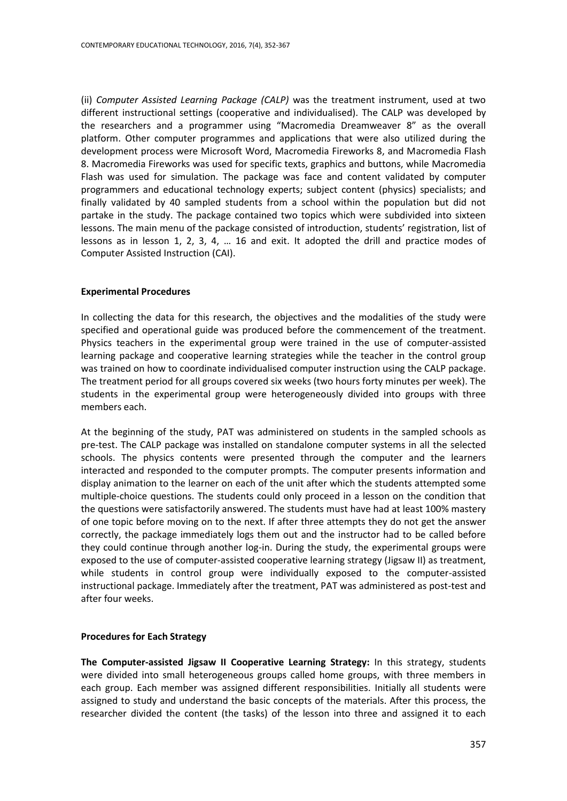(ii) *Computer Assisted Learning Package (CALP)* was the treatment instrument, used at two different instructional settings (cooperative and individualised). The CALP was developed by the researchers and a programmer using "Macromedia Dreamweaver 8" as the overall platform. Other computer programmes and applications that were also utilized during the development process were Microsoft Word, Macromedia Fireworks 8, and Macromedia Flash 8. Macromedia Fireworks was used for specific texts, graphics and buttons, while Macromedia Flash was used for simulation. The package was face and content validated by computer programmers and educational technology experts; subject content (physics) specialists; and finally validated by 40 sampled students from a school within the population but did not partake in the study. The package contained two topics which were subdivided into sixteen lessons. The main menu of the package consisted of introduction, students' registration, list of lessons as in lesson 1, 2, 3, 4, … 16 and exit. It adopted the drill and practice modes of Computer Assisted Instruction (CAI).

## **Experimental Procedures**

In collecting the data for this research, the objectives and the modalities of the study were specified and operational guide was produced before the commencement of the treatment. Physics teachers in the experimental group were trained in the use of computer-assisted learning package and cooperative learning strategies while the teacher in the control group was trained on how to coordinate individualised computer instruction using the CALP package. The treatment period for all groups covered six weeks (two hours forty minutes per week). The students in the experimental group were heterogeneously divided into groups with three members each.

At the beginning of the study, PAT was administered on students in the sampled schools as pre-test. The CALP package was installed on standalone computer systems in all the selected schools. The physics contents were presented through the computer and the learners interacted and responded to the computer prompts. The computer presents information and display animation to the learner on each of the unit after which the students attempted some multiple-choice questions. The students could only proceed in a lesson on the condition that the questions were satisfactorily answered. The students must have had at least 100% mastery of one topic before moving on to the next. If after three attempts they do not get the answer correctly, the package immediately logs them out and the instructor had to be called before they could continue through another log-in. During the study, the experimental groups were exposed to the use of computer-assisted cooperative learning strategy (Jigsaw II) as treatment, while students in control group were individually exposed to the computer-assisted instructional package. Immediately after the treatment, PAT was administered as post-test and after four weeks.

### **Procedures for Each Strategy**

**The Computer-assisted Jigsaw II Cooperative Learning Strategy:** In this strategy, students were divided into small heterogeneous groups called home groups, with three members in each group. Each member was assigned different responsibilities. Initially all students were assigned to study and understand the basic concepts of the materials. After this process, the researcher divided the content (the tasks) of the lesson into three and assigned it to each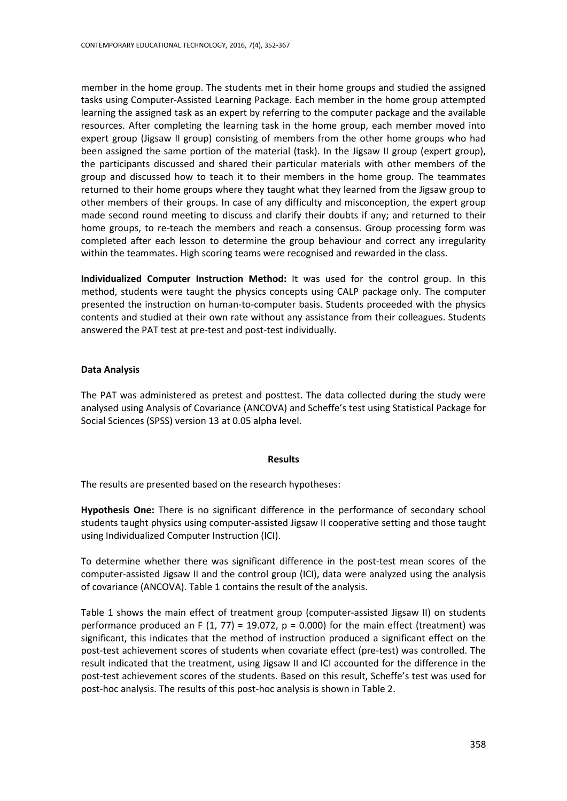member in the home group. The students met in their home groups and studied the assigned tasks using Computer-Assisted Learning Package. Each member in the home group attempted learning the assigned task as an expert by referring to the computer package and the available resources. After completing the learning task in the home group, each member moved into expert group (Jigsaw II group) consisting of members from the other home groups who had been assigned the same portion of the material (task). In the Jigsaw II group (expert group), the participants discussed and shared their particular materials with other members of the group and discussed how to teach it to their members in the home group. The teammates returned to their home groups where they taught what they learned from the Jigsaw group to other members of their groups. In case of any difficulty and misconception, the expert group made second round meeting to discuss and clarify their doubts if any; and returned to their home groups, to re-teach the members and reach a consensus. Group processing form was completed after each lesson to determine the group behaviour and correct any irregularity within the teammates. High scoring teams were recognised and rewarded in the class.

**Individualized Computer Instruction Method:** It was used for the control group. In this method, students were taught the physics concepts using CALP package only. The computer presented the instruction on human-to-computer basis. Students proceeded with the physics contents and studied at their own rate without any assistance from their colleagues. Students answered the PAT test at pre-test and post-test individually.

# **Data Analysis**

The PAT was administered as pretest and posttest. The data collected during the study were analysed using Analysis of Covariance (ANCOVA) and Scheffe's test using Statistical Package for Social Sciences (SPSS) version 13 at 0.05 alpha level.

# **Results**

The results are presented based on the research hypotheses:

**Hypothesis One:** There is no significant difference in the performance of secondary school students taught physics using computer-assisted Jigsaw II cooperative setting and those taught using Individualized Computer Instruction (ICI).

To determine whether there was significant difference in the post-test mean scores of the computer-assisted Jigsaw II and the control group (ICI), data were analyzed using the analysis of covariance (ANCOVA). Table 1 contains the result of the analysis.

Table 1 shows the main effect of treatment group (computer-assisted Jigsaw II) on students performance produced an F  $(1, 77) = 19.072$ , p = 0.000) for the main effect (treatment) was significant, this indicates that the method of instruction produced a significant effect on the post-test achievement scores of students when covariate effect (pre-test) was controlled. The result indicated that the treatment, using Jigsaw II and ICI accounted for the difference in the post-test achievement scores of the students. Based on this result, Scheffe's test was used for post-hoc analysis. The results of this post-hoc analysis is shown in Table 2.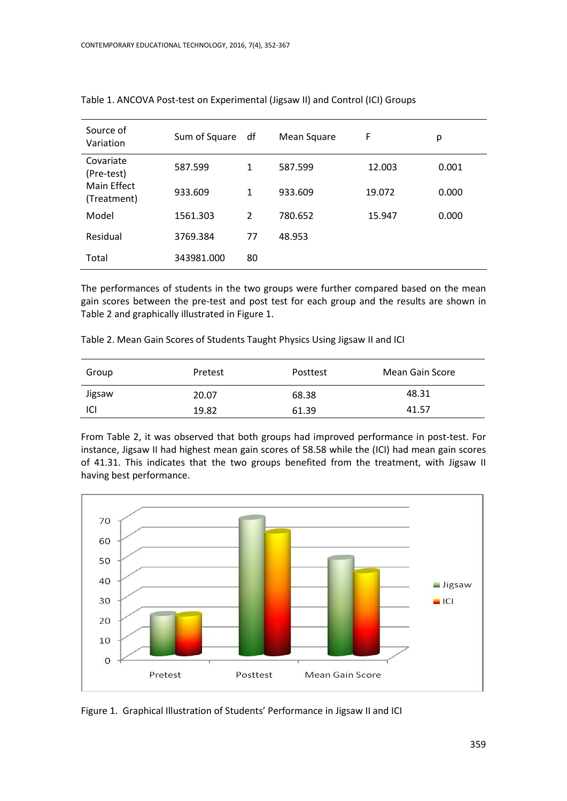| Source of<br>Variation     | Sum of Square | df             | Mean Square | F      | р     |
|----------------------------|---------------|----------------|-------------|--------|-------|
| Covariate<br>(Pre-test)    | 587.599       | 1              | 587.599     | 12.003 | 0.001 |
| Main Effect<br>(Treatment) | 933.609       | 1              | 933.609     | 19.072 | 0.000 |
| Model                      | 1561.303      | $\overline{2}$ | 780.652     | 15.947 | 0.000 |
| Residual                   | 3769.384      | 77             | 48.953      |        |       |
| Total                      | 343981.000    | 80             |             |        |       |

Table 1. ANCOVA Post-test on Experimental (Jigsaw II) and Control (ICI) Groups

The performances of students in the two groups were further compared based on the mean gain scores between the pre-test and post test for each group and the results are shown in Table 2 and graphically illustrated in Figure 1.

Table 2. Mean Gain Scores of Students Taught Physics Using Jigsaw II and ICI

| Group  | Pretest | Posttest | Mean Gain Score |
|--------|---------|----------|-----------------|
| Jigsaw | 20.07   | 68.38    | 48.31           |
| ICI    | 19.82   | 61.39    | 41.57           |

From Table 2, it was observed that both groups had improved performance in post-test. For instance, Jigsaw II had highest mean gain scores of 58.58 while the (ICI) had mean gain scores of 41.31. This indicates that the two groups benefited from the treatment, with Jigsaw II having best performance.



Figure 1. Graphical Illustration of Students' Performance in Jigsaw II and ICI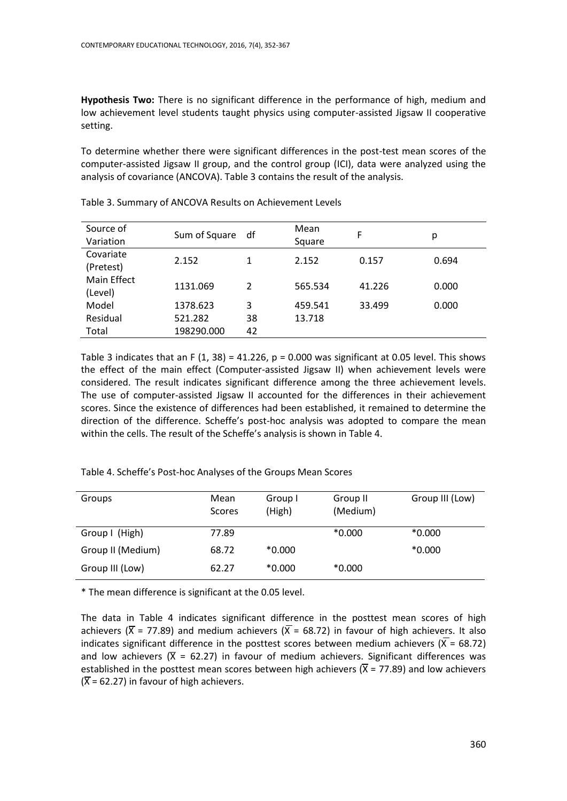**Hypothesis Two:** There is no significant difference in the performance of high, medium and low achievement level students taught physics using computer-assisted Jigsaw II cooperative setting.

To determine whether there were significant differences in the post-test mean scores of the computer-assisted Jigsaw II group, and the control group (ICI), data were analyzed using the analysis of covariance (ANCOVA). Table 3 contains the result of the analysis.

| Source of<br>Variation | Sum of Square | df | Mean<br>Square | F      | р     |
|------------------------|---------------|----|----------------|--------|-------|
| Covariate<br>(Pretest) | 2.152         | 1  | 2.152          | 0.157  | 0.694 |
| Main Effect<br>(Level) | 1131.069      | 2  | 565.534        | 41.226 | 0.000 |
| Model                  | 1378.623      | 3  | 459.541        | 33.499 | 0.000 |
| Residual               | 521.282       | 38 | 13.718         |        |       |
| Total                  | 198290.000    | 42 |                |        |       |

Table 3. Summary of ANCOVA Results on Achievement Levels

Table 3 indicates that an F  $(1, 38) = 41.226$ , p = 0.000 was significant at 0.05 level. This shows the effect of the main effect (Computer-assisted Jigsaw II) when achievement levels were considered. The result indicates significant difference among the three achievement levels. The use of computer-assisted Jigsaw II accounted for the differences in their achievement scores. Since the existence of differences had been established, it remained to determine the direction of the difference. Scheffe's post-hoc analysis was adopted to compare the mean within the cells. The result of the Scheffe's analysis is shown in Table 4.

Table 4. Scheffe's Post-hoc Analyses of the Groups Mean Scores

| Groups            | Mean<br><b>Scores</b> | Group I<br>(High) | Group II<br>(Medium) | Group III (Low) |
|-------------------|-----------------------|-------------------|----------------------|-----------------|
| Group I (High)    | 77.89                 |                   | $*0.000$             | $*0.000$        |
| Group II (Medium) | 68.72                 | $*0.000$          |                      | $*0.000$        |
| Group III (Low)   | 62.27                 | $*0.000$          | $*0.000$             |                 |

\* The mean difference is significant at the 0.05 level.

The data in Table 4 indicates significant difference in the posttest mean scores of high achievers ( $\overline{X}$  = 77.89) and medium achievers ( $\overline{X}$  = 68.72) in favour of high achievers. It also indicates significant difference in the posttest scores between medium achievers ( $\bar{X}$  = 68.72) and low achievers ( $\bar{X}$  = 62.27) in favour of medium achievers. Significant differences was established in the posttest mean scores between high achievers  $(\overline{X} = 77.89)$  and low achievers  $(\overline{X} = 62.27)$  in favour of high achievers.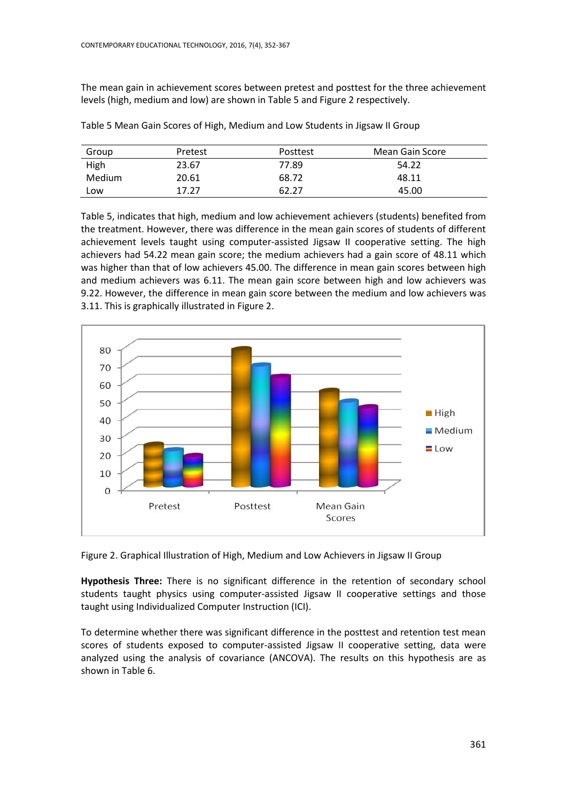The mean gain in achievement scores between pretest and posttest for the three achievement levels (high, medium and low) are shown in Table 5 and Figure 2 respectively.

| Group  | Pretest | Posttest | Mean Gain Score |
|--------|---------|----------|-----------------|
| High   | 23.67   | 77.89    | 54.22           |
| Medium | 20.61   | 68.72    | 48.11           |
| Low    | 17.27   | 62.27    | 45.00           |

Table 5 Mean Gain Scores of High, Medium and Low Students in Jigsaw II Group

Table 5, indicates that high, medium and low achievement achievers (students) benefited from the treatment. However, there was difference in the mean gain scores of students of different achievement levels taught using computer-assisted Jigsaw II cooperative setting. The high achievers had 54.22 mean gain score; the medium achievers had a gain score of 48.11 which was higher than that of low achievers 45.00. The difference in mean gain scores between high and medium achievers was 6.11. The mean gain score between high and low achievers was 9.22. However, the difference in mean gain score between the medium and low achievers was 3.11. This is graphically illustrated in Figure 2.



Figure 2. Graphical Illustration of High, Medium and Low Achievers in Jigsaw II Group

**Hypothesis Three:** There is no significant difference in the retention of secondary school students taught physics using computer-assisted Jigsaw II cooperative settings and those taught using Individualized Computer Instruction (ICI).

To determine whether there was significant difference in the posttest and retention test mean scores of students exposed to computer-assisted Jigsaw II cooperative setting, data were analyzed using the analysis of covariance (ANCOVA). The results on this hypothesis are as shown in Table 6.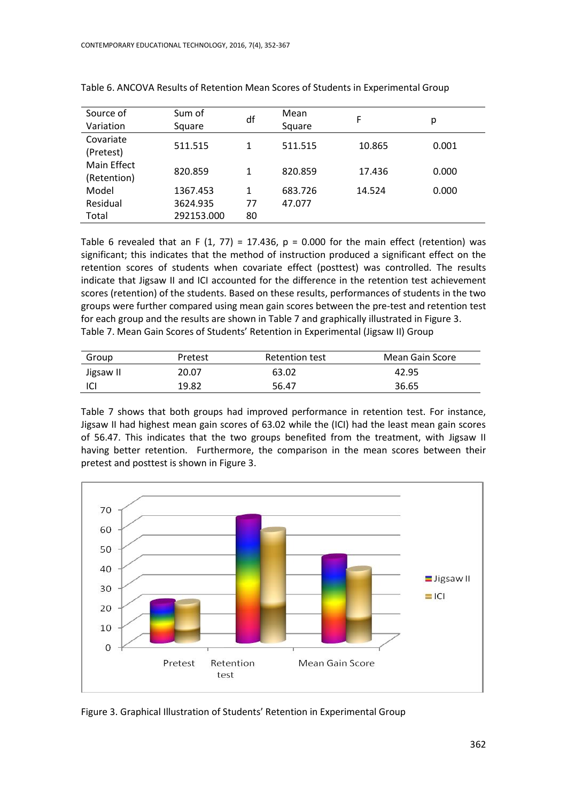| Source of<br>Variation     | Sum of<br>Square | df | Mean<br>Square | F      | р     |
|----------------------------|------------------|----|----------------|--------|-------|
| Covariate<br>(Pretest)     | 511.515          | 1  | 511.515        | 10.865 | 0.001 |
| Main Effect<br>(Retention) | 820.859          | 1  | 820.859        | 17.436 | 0.000 |
| Model                      | 1367.453         | 1  | 683.726        | 14.524 | 0.000 |
| Residual                   | 3624.935         | 77 | 47.077         |        |       |
| Total                      | 292153.000       | 80 |                |        |       |

Table 6. ANCOVA Results of Retention Mean Scores of Students in Experimental Group

Table 6 revealed that an F (1, 77) = 17.436,  $p = 0.000$  for the main effect (retention) was significant; this indicates that the method of instruction produced a significant effect on the retention scores of students when covariate effect (posttest) was controlled. The results indicate that Jigsaw II and ICI accounted for the difference in the retention test achievement scores (retention) of the students. Based on these results, performances of students in the two groups were further compared using mean gain scores between the pre-test and retention test for each group and the results are shown in Table 7 and graphically illustrated in Figure 3. Table 7. Mean Gain Scores of Students' Retention in Experimental (Jigsaw II) Group

| Group     | Pretest | Retention test | Mean Gain Score |
|-----------|---------|----------------|-----------------|
| Jigsaw II | 20.07   | 63.02          | 42.95           |
| -ICI      | 19.82   | 56.47          | 36.65           |

Table 7 shows that both groups had improved performance in retention test. For instance, Jigsaw II had highest mean gain scores of 63.02 while the (ICI) had the least mean gain scores of 56.47. This indicates that the two groups benefited from the treatment, with Jigsaw II having better retention. Furthermore, the comparison in the mean scores between their pretest and posttest is shown in Figure 3.



Figure 3. Graphical Illustration of Students' Retention in Experimental Group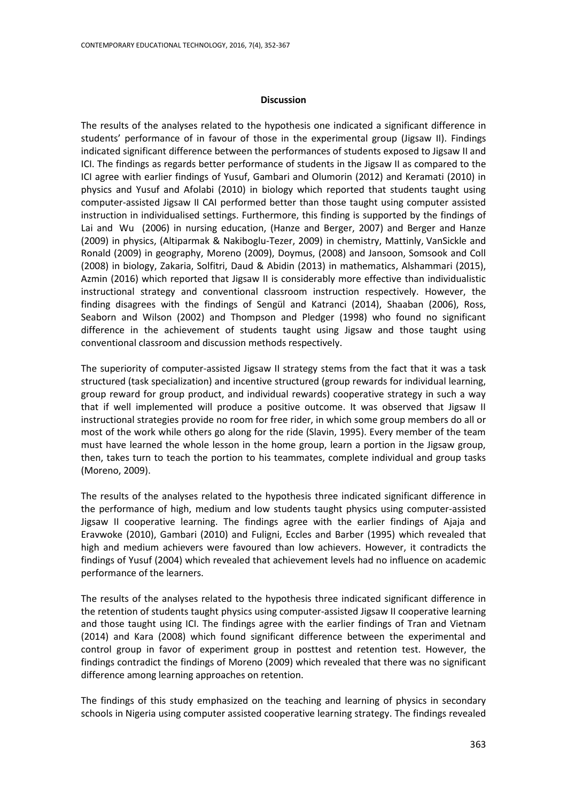#### **Discussion**

The results of the analyses related to the hypothesis one indicated a significant difference in students' performance of in favour of those in the experimental group (Jigsaw II). Findings indicated significant difference between the performances of students exposed to Jigsaw II and ICI. The findings as regards better performance of students in the Jigsaw II as compared to the ICI agree with earlier findings of Yusuf, Gambari and Olumorin (2012) and Keramati (2010) in physics and Yusuf and Afolabi (2010) in biology which reported that students taught using computer-assisted Jigsaw II CAI performed better than those taught using computer assisted instruction in individualised settings. Furthermore, this finding is supported by the findings of [Lai and](http://www.eric.ed.gov/ERICWebPortal/Home.portal?_nfpb=true&_pageLabel=ERICSearchResult&_urlType=action&newSearch=true&ERICExtSearch_SearchType_0=au&ERICExtSearch_SearchValue_0=%22Lai+C.-Y.%22) [Wu](http://www.eric.ed.gov/ERICWebPortal/Home.portal?_nfpb=true&_pageLabel=ERICSearchResult&_urlType=action&newSearch=true&ERICExtSearch_SearchType_0=au&ERICExtSearch_SearchValue_0=%22Wu+Cheng-Chih%22) (2006) in nursing education, (Hanze and Berger, 2007) and Berger and Hanze (2009) in physics, (Altiparmak & Nakiboglu-Tezer, 2009) in chemistry, Mattinly, VanSickle and Ronald (2009) in geography, Moreno (2009), Doymus, (2008) and Jansoon, Somsook and Coll (2008) in biology, Zakaria, Solfitri, Daud & Abidin (2013) in mathematics, Alshammari (2015), Azmin (2016) which reported that Jigsaw II is considerably more effective than individualistic instructional strategy and conventional classroom instruction respectively. However, the finding disagrees with the findings of Sengül and Katranci (2014), Shaaban (2006), Ross, Seaborn and Wilson (2002) and Thompson and Pledger (1998) who found no significant difference in the achievement of students taught using Jigsaw and those taught using conventional classroom and discussion methods respectively.

The superiority of computer-assisted Jigsaw II strategy stems from the fact that it was a task structured (task specialization) and incentive structured (group rewards for individual learning, group reward for group product, and individual rewards) cooperative strategy in such a way that if well implemented will produce a positive outcome. It was observed that Jigsaw II instructional strategies provide no room for free rider, in which some group members do all or most of the work while others go along for the ride (Slavin, 1995). Every member of the team must have learned the whole lesson in the home group, learn a portion in the Jigsaw group, then, takes turn to teach the portion to his teammates, complete individual and group tasks (Moreno, 2009).

The results of the analyses related to the hypothesis three indicated significant difference in the performance of high, medium and low students taught physics using computer-assisted Jigsaw II cooperative learning. The findings agree with the earlier findings of Ajaja and Eravwoke (2010), Gambari (2010) and Fuligni, Eccles and Barber (1995) which revealed that high and medium achievers were favoured than low achievers. However, it contradicts the findings of Yusuf (2004) which revealed that achievement levels had no influence on academic performance of the learners.

The results of the analyses related to the hypothesis three indicated significant difference in the retention of students taught physics using computer-assisted Jigsaw II cooperative learning and those taught using ICI. The findings agree with the earlier findings of Tran and Vietnam (2014) and Kara (2008) which found significant difference between the experimental and control group in favor of experiment group in posttest and retention test. However, the findings contradict the findings of Moreno (2009) which revealed that there was no significant difference among learning approaches on retention.

The findings of this study emphasized on the teaching and learning of physics in secondary schools in Nigeria using computer assisted cooperative learning strategy. The findings revealed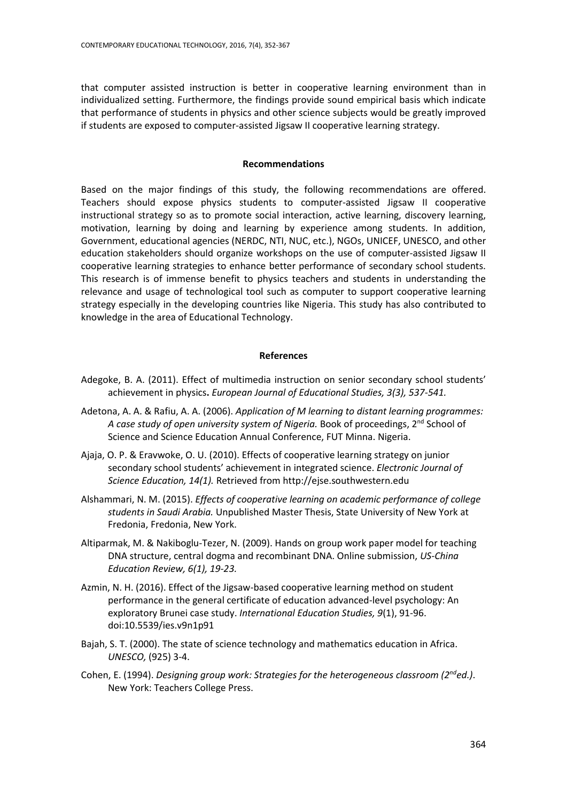that computer assisted instruction is better in cooperative learning environment than in individualized setting. Furthermore, the findings provide sound empirical basis which indicate that performance of students in physics and other science subjects would be greatly improved if students are exposed to computer-assisted Jigsaw II cooperative learning strategy.

#### **Recommendations**

Based on the major findings of this study, the following recommendations are offered. Teachers should expose physics students to computer-assisted Jigsaw II cooperative instructional strategy so as to promote social interaction, active learning, discovery learning, motivation, learning by doing and learning by experience among students. In addition, Government, educational agencies (NERDC, NTI, NUC, etc.), NGOs, UNICEF, UNESCO, and other education stakeholders should organize workshops on the use of computer-assisted Jigsaw II cooperative learning strategies to enhance better performance of secondary school students. This research is of immense benefit to physics teachers and students in understanding the relevance and usage of technological tool such as computer to support cooperative learning strategy especially in the developing countries like Nigeria. This study has also contributed to knowledge in the area of Educational Technology.

#### **References**

- Adegoke, B. A. (2011). Effect of multimedia instruction on senior secondary school students' achievement in physics**.** *European Journal of Educational Studies, 3(3), 537-541.*
- Adetona, A. A. & Rafiu, A. A. (2006). *Application of M learning to distant learning programmes:*  A case study of open university system of Nigeria. Book of proceedings, 2<sup>nd</sup> School of Science and Science Education Annual Conference, FUT Minna. Nigeria.
- Ajaja, O. P. & Eravwoke, O. U. (2010). Effects of cooperative learning strategy on junior secondary school students' achievement in integrated science. *Electronic Journal of Science Education, 14(1).* Retrieved from [http://ejse.southwestern.edu](http://ejse.southwestern.edu/)
- Alshammari, N. M. (2015). *Effects of cooperative learning on academic performance of college students in Saudi Arabia.* Unpublished Master Thesis, State University of New York at Fredonia, Fredonia, New York.
- [Altiparmak, M.](http://www.eric.ed.gov/ERICWebPortal/Home.portal?_nfpb=true&_pageLabel=ERICSearchResult&_urlType=action&newSearch=true&ERICExtSearch_SearchType_0=au&ERICExtSearch_SearchValue_0=%22Altiparmak+Melek%22) & [Nakiboglu-Tezer,](http://www.eric.ed.gov/ERICWebPortal/Home.portal?_nfpb=true&_pageLabel=ERICSearchResult&_urlType=action&newSearch=true&ERICExtSearch_SearchType_0=au&ERICExtSearch_SearchValue_0=%22Nakiboglu+Tezer+Mahmure%22) N. (2009). Hands on group work paper model for teaching DNA structure, central dogma and recombinant DNA. Online submission, *US-China Education Review, 6(1), 19-23.*
- Azmin, N. H. (2016). Effect of the Jigsaw-based cooperative learning method on student performance in the general certificate of education advanced-level psychology: An exploratory Brunei case study. *International Education Studies, 9*(1), 91-96. doi:10.5539/ies.v9n1p91
- Bajah, S. T. (2000). The state of science technology and mathematics education in Africa. *UNESCO,* (925) 3-4.
- Cohen, E. (1994). *Designing group work: Strategies for the heterogeneous classroom (2nded.)*. New York: Teachers College Press.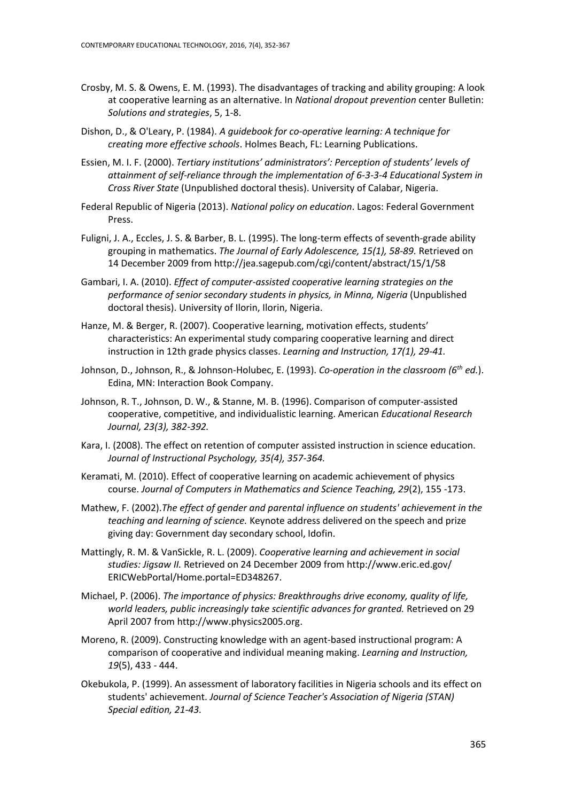- Crosby, M. S. & Owens, E. M. (1993). The disadvantages of tracking and ability grouping: A look at cooperative learning as an alternative. In *National dropout prevention* center Bulletin: *Solutions and strategies*, 5, 1-8.
- Dishon, D., & O'Leary, P. (1984). *A guidebook for co-operative learning: A technique for creating more effective schools*. Holmes Beach, FL: Learning Publications.
- Essien, M. I. F. (2000). *Tertiary institutions' administrators': Perception of students' levels of attainment of self-reliance through the implementation of 6-3-3-4 Educational System in Cross River State* (Unpublished doctoral thesis). University of Calabar, Nigeria.
- Federal Republic of Nigeria (2013). *National policy on education*. Lagos: Federal Government Press.
- Fuligni, J. A., Eccles, J. S. & Barber, B. L. (1995). The long-term effects of seventh-grade ability grouping in mathematics. *The Journal of Early Adolescence, 15(1), 58-89.* Retrieved on 14 December 2009 from<http://jea.sagepub.com/cgi/content/abstract/15/1/58>
- Gambari, I. A. (2010). *Effect of computer-assisted cooperative learning strategies on the performance of senior secondary students in physics, in Minna, Nigeria* (Unpublished doctoral thesis). University of Ilorin, Ilorin, Nigeria.
- Hanze, M. & Berger, R. (2007). Cooperative learning, motivation effects, students' characteristics: An experimental study comparing cooperative learning and direct instruction in 12th grade physics classes. *Learning and Instruction, 17(1), 29-41.*
- Johnson, D., Johnson, R., & Johnson-Holubec, E. (1993). *Co-operation in the classroom (6th ed.*). Edina, MN: Interaction Book Company.
- Johnson, R. T., Johnson, D. W., & Stanne, M. B. (1996). Comparison of computer-assisted cooperative, competitive, and individualistic learning. American *Educational Research Journal, 23(3), 382-392.*
- Kara, I. (2008). The effect on retention of computer assisted instruction in science education. *Journal of Instructional Psychology, 35(4), 357-364.*
- Keramati, M. (2010). Effect of cooperative learning on academic achievement of physics course. *Journal of Computers in Mathematics and Science Teaching, 29*(2), 155 -173.
- Mathew, F. (2002).*The effect of gender and parental influence on students' achievement in the teaching and learning of science.* Keynote address delivered on the speech and prize giving day: Government day secondary school, Idofin.
- [Mattingly, R.](http://www.eric.ed.gov/ERICWebPortal/Home.portal?_nfpb=true&_pageLabel=ERICSearchResult&_urlType=action&newSearch=true&ERICExtSearch_SearchType_0=au&ERICExtSearch_SearchValue_0=%22Mattingly+Robert+M.%22) M. & [VanSickle, R.](http://www.eric.ed.gov/ERICWebPortal/Home.portal?_nfpb=true&_pageLabel=ERICSearchResult&_urlType=action&newSearch=true&ERICExtSearch_SearchType_0=au&ERICExtSearch_SearchValue_0=%22VanSickle+Ronald+L.%22) L. (2009). *Cooperative learning and achievement in social studies: Jigsaw II.* Retrieved on 24 December 2009 from [http://www.eric.ed.gov/](http://www.eric.ed.gov/%20ERICWebPortal/Home.portal=ED348267)  [ERICWebPortal/Home.portal=ED348267.](http://www.eric.ed.gov/%20ERICWebPortal/Home.portal=ED348267)
- Michael, P. (2006). *The importance of physics: Breakthroughs drive economy, quality of life, world leaders, public increasingly take scientific advances for granted.* Retrieved on 29 April 2007 from [http://www.physics2005.org.](http://www.physics2005.org/)
- [Moreno, R](http://www.eric.ed.gov/ERICWebPortal/Home.portal?_nfpb=true&_pageLabel=ERICSearchResult&_urlType=action&newSearch=true&ERICExtSearch_SearchType_0=au&ERICExtSearch_SearchValue_0=%22Moreno+Roxana%22). (2009). Constructing knowledge with an agent-based instructional program: [A](http://www.eric.ed.gov/ERICWebPortal/Home.portal?_nfpb=true&ERICExtSearch_SearchValue_0=Jigsaw+cooperative+learning&searchtype=keyword&ERICExtSearch_SearchType_0=kw&_pageLabel=RecordDetails&objectId=0900019b803b995d&accno=EJ845739&_nfls=false%20%20%20%20)  [comparison of cooperative and individual meaning making.](http://www.eric.ed.gov/ERICWebPortal/Home.portal?_nfpb=true&ERICExtSearch_SearchValue_0=Jigsaw+cooperative+learning&searchtype=keyword&ERICExtSearch_SearchType_0=kw&_pageLabel=RecordDetails&objectId=0900019b803b995d&accno=EJ845739&_nfls=false%20%20%20%20) *Learning and Instruction, 19*(5), 433 - 444.
- Okebukola, P. (1999). An assessment of laboratory facilities in Nigeria schools and its effect on students' achievement. *Journal of Science Teacher's Association of Nigeria (STAN) Special edition, 21-43.*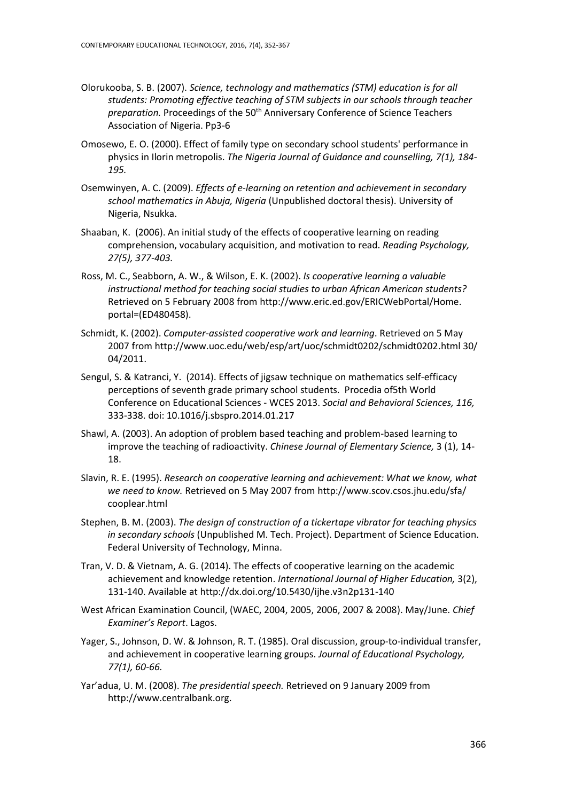- Olorukooba, S. B. (2007). *Science, technology and mathematics (STM) education is for all students: Promoting effective teaching of STM subjects in our schools through teacher*  preparation. Proceedings of the 50<sup>th</sup> Anniversary Conference of Science Teachers Association of Nigeria. Pp3-6
- Omosewo, E. O. (2000). Effect of family type on secondary school students' performance in physics in Ilorin metropolis. *The Nigeria Journal of Guidance and counselling, 7(1), 184- 195.*
- Osemwinyen, A. C. (2009). *Effects of e-learning on retention and achievement in secondary school mathematics in Abuja, Nigeria* (Unpublished doctoral thesis). University of Nigeria, Nsukka.
- [Shaaban, K.](http://www.eric.ed.gov/ERICWebPortal/Home.portal?_nfpb=true&_pageLabel=ERICSearchResult&_urlType=action&newSearch=true&ERICExtSearch_SearchType_0=au&ERICExtSearch_SearchValue_0=%22Shaaban+Kassim%22) (2006). An initial study of the effects of cooperative learning on reading comprehension[, vocabulary acquisition, and motivation to read.](http://www.eric.ed.gov/ERICWebPortal/Home.portal?_nfpb=true&ERICExtSearch_SearchValue_0=Jigsaw+cooperative+learning&searchtype=basic&ERICExtSearch_SearchType_0=kw&pageSize=10&eric_displayNtriever=false&eric_displayStartCount=11&_pageLabel=RecordDetails&objectId=0900019b80160b8b&accno=EJ753609&_nfls=false%20%20%20%20) *Reading Psychology, 27(5), 377-403.*
- Ross, M. C., Seabborn, A. W., & Wilson, E. K. (2002). *Is cooperative learning a valuable instructional method for teaching social studies to urban African American students?* Retrieved on 5 February 2008 fro[m http://www.eric.ed.gov/ERICWebPortal/Home.](http://www.eric.ed.gov/ERICWebPortal/Home.%20portal)  [portal=](http://www.eric.ed.gov/ERICWebPortal/Home.%20portal)(ED480458).
- Schmidt, K. (2002). *Computer-assisted cooperative work and learning*. Retrieved on 5 May 2007 fro[m http://www.uoc.edu/web/esp/art/uoc/schmidt0202/schmidt0202.](http://www.uoc.edu/web/esp/art/uoc/schmidt0202/schmidt0202)html 30/ 04/2011.
- Sengul, S. & Katranci, Y. (2014). Effects of jigsaw technique on mathematics self-efficacy perceptions of seventh grade primary school students. Procedia of5th World Conference on Educational Sciences - WCES 2013. *Social and Behavioral Sciences, 116,* 333-338. doi: 10.1016/j.sbspro.2014.01.217
- Shawl, A. (2003). An adoption of problem based teaching and problem-based learning to improve the teaching of radioactivity. *Chinese Journal of Elementary Science,* 3 (1), 14- 18.
- Slavin, R. E. (1995). *Research on cooperative learning and achievement: What we know, what we need to know.* Retrieved on 5 May 2007 from [http://www.scov.csos.jhu.edu/sfa/](http://www.scov.csos.jhu.edu/sfa/%20cooplear.html)  [cooplear.html](http://www.scov.csos.jhu.edu/sfa/%20cooplear.html)
- Stephen, B. M. (2003). *The design of construction of a tickertape vibrator for teaching physics in secondary schools* (Unpublished M. Tech. Project). Department of Science Education. Federal University of Technology, Minna.
- Tran, V. D. & Vietnam, A. G. (2014). The effects of cooperative learning on the academic achievement and knowledge retention. *International Journal of Higher Education,* 3(2), 131-140. Available at <http://dx.doi.org/10.5430/ijhe.v3n2p131-140>
- West African Examination Council, (WAEC, 2004, 2005, 2006, 2007 & 2008). May/June. *Chief Examiner's Report*. Lagos.
- Yager, S., Johnson, D. W. & Johnson, R. T. (1985). Oral discussion, group-to-individual transfer, and achievement in cooperative learning groups. *Journal of Educational Psychology, 77(1), 60-66.*
- Yar'adua, U. M. (2008). *The presidential speech.* Retrieved on 9 January 2009 from [http://www.centralbank.org.](http://www.centralbank.org/)